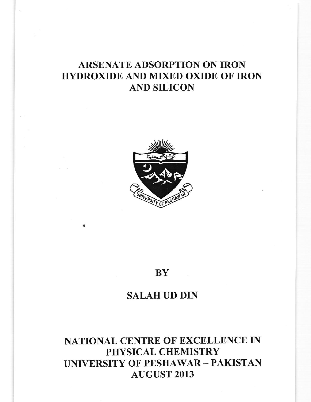# ARSENATE ADSORPTION ON IRON HYDROXIDE AND MIXED OXIDE OF IRON AND SILICON



### BY

## SALAH UD DIN

# NATIONAL CENTRE OF EXCELLENCE IN PHYSICAL CHEMISTRY UNIVERSITY OF PESHAWAR - PAKISTAN AUGUST 2013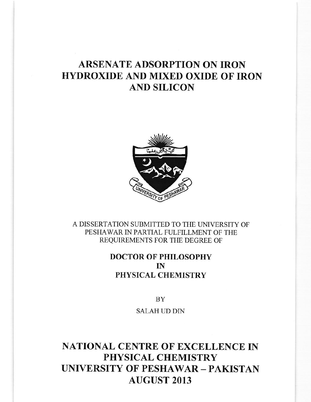# ARSENATE ADSORPTION ON IRON HYDROXIDE AND MIXED OXIDE OF IRON AND SILICON



A DISSERTATION SUBMITTED TO THE UNIVERSITY OF PESHAWAR IN PARTIAL FULFILLMENT OF THE REQUIREMENTS FOR THE DEGREE OF

### DOCTOR OF PHILOSOPHY IN PHYSICAL CHEMISTRY

BY

SALAH UD DIN

## NATIONAL CENTRE OF EXCELLENCE IN PHYSICAL CHEMISTRY UNIVERSITY OF PESHAWAR - PAKISTAN AUGUST 2013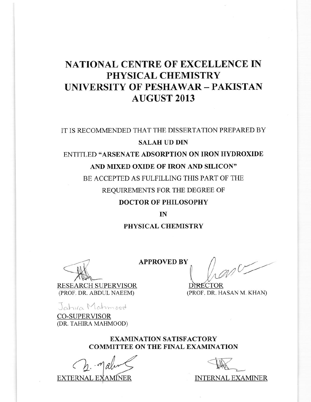## **NATIONAL CENTRE OF EXCELLENCE IN** PHYSICAL CHEMISTRY **UNIVERSITY OF PESHAWAR - PAKISTAN AUGUST 2013**

### IT IS RECOMMENDED THAT THE DISSERTATION PREPARED BY

### **SALAH UD DIN**

## ENTITLED "ARSENATE ADSORPTION ON IRON HYDROXIDE AND MIXED OXIDE OF IRON AND SILICON"

BE ACCEPTED AS FULFILLING THIS PART OF THE REQUIREMENTS FOR THE DEGREE OF

### **DOCTOR OF PHILOSOPHY**

#### $IN$

#### PHYSICAL CHEMISTRY

**RESEARCH SUPERVISOR** (PROF. DR. ABDUL NAEEM)

Jahira Mahmood

**CO-SUPERVISOR** (DR. TAHIRA MAHMOOD)

**APPROVED BY** mor

**IRECTOR** (PROF. DR. HASAN M. KHAN)

#### **EXAMINATION SATISFACTORY COMMITTEE ON THE FINAL EXAMINATION**

**EXTERNAL EXAMINER** 

**INTERNAL EXAMINER**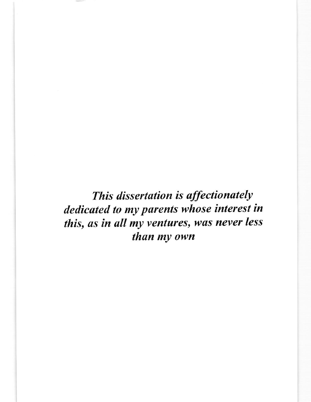This dissertation is affectionately dedicated to my purents whose interest in this, as in all my ventures, was never less than my own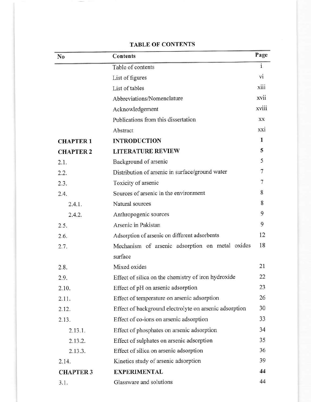| N <sub>0</sub>   | Contents                                               | Page         |
|------------------|--------------------------------------------------------|--------------|
|                  | Table of contents                                      | $\mathbf{i}$ |
|                  | List of figures                                        | vi           |
|                  | List of tables                                         | xiii         |
|                  | Abbreviations/Nomenclature                             | xvii         |
|                  | Acknowledgement                                        | xviii        |
|                  | Publications from this dissertation                    | XX           |
|                  | Abstract                                               | xxi          |
| <b>CHAPTER 1</b> | <b>INTRODUCTION</b>                                    | 1            |
| <b>CHAPTER 2</b> | <b>LITERATURE REVIEW</b>                               | 5            |
| 2.1.             | Background of arsenic                                  | 5            |
| 2.2.             | Distribution of arsenic in surface/ground water        | 7            |
| 2.3.             | Toxicity of arsenic                                    | 7            |
| 2.4.             | Sources of arsenic in the environment                  | 8            |
| 2.4.1.           | Natural sources                                        | 8            |
| 2.4.2.           | Anthropogenic sources                                  | 9            |
| 2.5.             | Arsenic in Pakistan                                    | 9            |
| 2.6.             | Adsorption of arsenic on different adsorbents          | 12           |
| 2.7.             | Mechanism of arsenic adsorption on metal oxides        | 18           |
|                  | surface                                                |              |
| 2.8.             | Mixed oxides                                           | 21           |
| 2.9.             | Effect of silica on the chemistry of iron hydroxide    | 22           |
| 2.10.            | Effect of pH on arsenic adsorption                     | 23           |
| 2.11.            | Effect of temperature on arsenic adsorption            | 26           |
| 2.12.            | Effect of background electrolyte on arsenic adsorption | 30           |
| 2.13.            | Effect of co-ions on arsenic adsorption                | 33           |
| 2.13.1.          | Effect of phosphates on arsenic adsorption             | 34           |
| 2.13.2.          | Effect of sulphates on arsenic adsorption              | 35           |
| 2.13.3.          | Effect of silica on arsenic adsorption                 | 36           |
| 2.14.            | Kinetics study of arsenic adsorption                   | 39           |
| <b>CHAPTER 3</b> | <b>EXPERIMENTAL</b>                                    | 44           |
| 3.1.             | Glassware and solutions                                | 44           |

### **TABLE OF CONTENTS**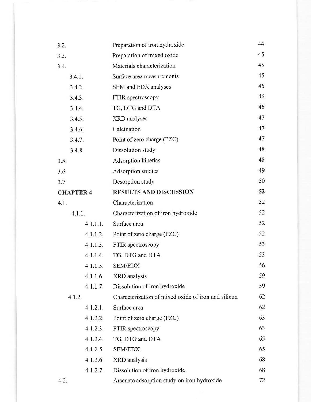| 3.2.             |          | Preparation of iron hydroxide                       | 44 |
|------------------|----------|-----------------------------------------------------|----|
| 3.3.             |          | Preparation of mixed oxide                          | 45 |
| 3.4.             |          | Materials characterization                          | 45 |
|                  | 3.4.1.   | Surface area measurements                           | 45 |
|                  | 3.4.2.   | SEM and EDX analyses                                | 46 |
|                  | 3.4.3.   | FTIR spectroscopy                                   | 46 |
|                  | 3.4.4.   | TG, DTG and DTA                                     | 46 |
|                  | 3.4.5.   | XRD analyses                                        | 47 |
|                  | 3.4.6.   | Calcination                                         | 47 |
|                  | 3.4.7.   | Point of zero charge (PZC)                          | 47 |
|                  | 3.4.8.   | Dissolution study                                   | 48 |
| 3.5.             |          | Adsorption kinetics                                 | 48 |
| 3.6.             |          | Adsorption studies                                  | 49 |
| 3.7.             |          | Desorption study                                    | 50 |
| <b>CHAPTER 4</b> |          | <b>RESULTS AND DISCUSSION</b>                       | 52 |
| 4.1.             |          | Characterization                                    | 52 |
|                  | 4.1.1.   | Characterization of iron hydroxide                  | 52 |
|                  | 4.1.1.1. | Surface area                                        | 52 |
|                  | 4.1.1.2. | Point of zero charge (PZC)                          | 52 |
|                  | 4.1.1.3. | FTIR spectroscopy                                   | 53 |
|                  | 4.1.1.4. | TG, DTG and DTA                                     | 53 |
|                  | 4.1.1.5. | <b>SEM/EDX</b>                                      | 56 |
|                  | 4.1.1.6. | XRD analysis                                        | 59 |
|                  | 4.1.1.7. | Dissolution of iron hydroxide                       | 59 |
| 4.1.2.           |          | Characterization of mixed oxide of iron and silicon | 62 |
|                  | 4.1.2.1. | Surface area                                        | 62 |
|                  | 4.1.2.2. | Point of zero charge (PZC)                          | 63 |
|                  | 4.1.2.3. | FTIR spectroscopy                                   | 63 |
|                  | 4.1.2.4. | TG, DTG and DTA                                     | 65 |
|                  | 4.1.2.5. | <b>SEM/EDX</b>                                      | 65 |
|                  | 4.1.2.6. | XRD analysis                                        | 68 |
|                  | 4.1.2.7. | Dissolution of iron hydroxide                       | 68 |
| 4.2.             |          | Arsenate adsorption study on iron hydroxide         | 72 |